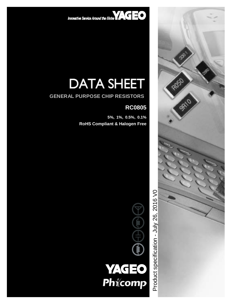Innovative Service Around the Slobe  $\mathbf{VAGEO}$ 

# **DATA SHEET**

### **GENERAL PURPOSE CHIP RESISTORS**

# **RC0805**

**RP** 

ROSO

9810

 **5%, 1%, 0.5%, 0.1% RoHS Compliant & Halogen Free** 



인<br>모 ರ uct s  $\mathsf \Omega$ ecific atio n - J  $\geq$  $\boldsymbol{\sim}$ လ<br>(၁ 016  $\,>$  $\mathbf{\circ}$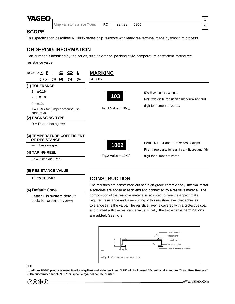

Chip Resistor Surface Mount **RC | SERIES | 0805** 

#### **SCOPE**

This specification describes RC0805 series chip resistors with lead-free terminal made by thick film process.

#### **ORDERING INFORMATION**

Part number is identified by the series, size, tolerance, packing style, temperature coefficient, taping reel, resistance value.



#### **(5) RESISTANCE VALUE**

#### **(6) Default Code**

Letter L is system default code for order only (NOTE)

## 1Ω to 100MΩ **CONSTRUCTION**

The resistors are constructed out of a high-grade ceramic body. Internal metal electrodes are added at each end and connected by a resistive material. The composition of the resistive material is adjusted to give the approximate required resistance and laser cutting of this resistive layer that achieves tolerance trims the value. The resistive layer is covered with a protective coat and printed with the resistance value. Finally, the two external terminations are added. See fig.3



Note

1. All our RSMD products meet RoHS compliant and Halogen Free. "LFP" of the internal 2D reel label mentions "Lead Free Process". **2. On customized label, "LFP" or specific symbol can be printed** 



1 5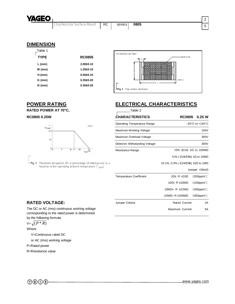

#### **DIMENSION**

| Table 1     |                 |
|-------------|-----------------|
| <b>TYPE</b> | <b>RC0805</b>   |
| L (mm)      | $2.00 \pm 0.10$ |
| W (mm)      | $1.25 \pm 0.10$ |
| $H$ (mm)    | $0.50 \pm 0.10$ |
| I1 (mm)     | $0.35 \pm 0.20$ |
| I2 (mm)     | $0.35 \pm 0.20$ |
|             |                 |





| $\exists$ Fig. 5 Maximum dissipation (P) in percentage of rated power as a |
|----------------------------------------------------------------------------|
| function of the operating ambient temperature $(T_{amb})$                  |

# **POWER RATING ELECTRICAL CHARACTERISTICS**

| RATED POWER AT 70°C,                                                                                                                                                                                                                            | Table 2                            |                                               |                                      |
|-------------------------------------------------------------------------------------------------------------------------------------------------------------------------------------------------------------------------------------------------|------------------------------------|-----------------------------------------------|--------------------------------------|
| RC0805 0.25W                                                                                                                                                                                                                                    | <b>CHARACTERISTICS</b>             | <b>RC0805</b>                                 | 0.25 W                               |
| P<br>MLB206 2<br>(%P <sub>rated</sub> )<br>100<br>50<br>$-55$<br>50 70<br>$100 -$<br>$T_{amb} (^{\circ}C)$<br>Maximum dissipation (P) in percentage of rated power as a<br>-Fig. 5<br>function of the operating ambient temperature $(T_{amb})$ | <b>Operating Temperature Range</b> |                                               | $-55^{\circ}$ C to +155 $^{\circ}$ C |
|                                                                                                                                                                                                                                                 | Maximum Working Voltage            |                                               | <b>150V</b>                          |
|                                                                                                                                                                                                                                                 | Maximum Overload Voltage           |                                               | 300V                                 |
|                                                                                                                                                                                                                                                 | Dielectric Withstanding Voltage    |                                               | 300V                                 |
|                                                                                                                                                                                                                                                 | Resistance Range                   | $\pm 5\%$ (E24) 1 $\Omega$ to 100M $\Omega$   |                                      |
|                                                                                                                                                                                                                                                 |                                    | $\pm$ 1% (E24/E96) 1 $\Omega$ to 10M $\Omega$ |                                      |
|                                                                                                                                                                                                                                                 |                                    | $±0.1\%$ , 0.5% (E24/E96) 10Ω to 1MΩ          |                                      |
|                                                                                                                                                                                                                                                 |                                    |                                               | Jumper $<$ 50m $\Omega$              |
|                                                                                                                                                                                                                                                 | <b>Temperature Coefficient</b>     | 1Ω ≤ R ≤ 10Ω                                  | $±200$ ppm/ $°C$                     |
|                                                                                                                                                                                                                                                 |                                    | 10Ω< $R \le 10MΩ$                             | $±100$ ppm/ $°C$                     |
|                                                                                                                                                                                                                                                 |                                    | 10M $\Omega$ < R $\leq$ 22M $\Omega$          | $±200$ ppm/ $°C$                     |
|                                                                                                                                                                                                                                                 |                                    | 24MΩ< R ≤100MΩ                                | $±300$ ppm/ $°C$                     |
| <b>RATED VOLTAGE:</b>                                                                                                                                                                                                                           | Jumper Criteria                    | Rated Current                                 | 2A                                   |

#### **RATED VOLTAGE:**

The DC or AC (rms) continuous working voltage corresponding to the rated power is determined by the following formula:

$$
\forall = \sqrt{(P^* R)}
$$

Where

V=Continuous rated DC

or AC (rms) working voltage

P=Rated power

R=Resistance value



Maximum Current 5A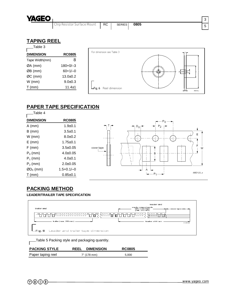

## **TAPING REEL**

| Table 3          |               |
|------------------|---------------|
| <b>DIMENSION</b> | <b>RC0805</b> |
| Tape Width(mm)   | 8             |
| ØA (mm)          | $180+0/-3$    |
| ØB (mm)          | $60+1/-0$     |
| ØC (mm)          | $13.0 + 0.2$  |
| $W$ (mm)         | $9.0 + 0.3$   |
| $T$ (mm)         | $11.4 \pm 1$  |



# **PAPER TAPE SPECIFICATION**



# **PACKING METHOD**

#### **LEADER/TRAILER TAPE SPECIFICATION**



Table 5 Packing style and packaging quantity.

| <b>PACKING STYLE</b> | <b>DIMENSION</b><br><b>REEL</b> | <b>RC0805</b> |
|----------------------|---------------------------------|---------------|
| Paper taping reel    | 7" (178 mm)                     | 5.000         |

 $\overline{1}$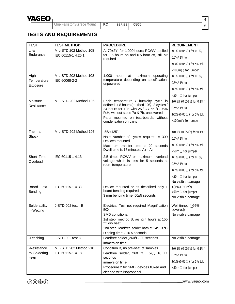

Chip Resistor Surface Mount **RC** | SERIES | 0805

# **TESTS AND REQUIREMENTS**

| <b>TEST</b>                 | <b>TEST METHOD</b>                                             | <b>PROCEDURE</b>                                                                       | <b>REQUIREMENT</b>                               |
|-----------------------------|----------------------------------------------------------------|----------------------------------------------------------------------------------------|--------------------------------------------------|
| Life/                       | MIL-STD 202 Method 108                                         | At 70±2℃ for 1,000 hours; RCWV applied                                                 | $\pm(1\% + 0.05\,\Omega)$ for 0.1%/              |
| Endurance                   | IEC 60115-1 4.25.1                                             | for 1.5 hours on and 0.5 hour off, still air<br>required                               | $0.5\% / 1\%$ tol.                               |
|                             |                                                                |                                                                                        | $\pm(3\% + 0.05\Omega)$ for 5% tol.              |
|                             |                                                                |                                                                                        | $\langle 100 \text{m} \Omega \rangle$ for jumper |
| High                        | MIL-STD 202 Method 108                                         | hours at maximum<br>1,000<br>operating                                                 | $\pm(1\% + 0.05\Omega)$ for 0.1%/                |
| Temperature<br>Exposure     | IEC 60068-2-2                                                  | temperature depending on specification,<br>unpowered                                   | $0.5\% / 1\%$ tol.                               |
|                             |                                                                |                                                                                        | $\pm (2\% + 0.05 \Omega)$ for 5% tol.            |
|                             |                                                                |                                                                                        | $<$ 50m $\Omega$ for jumper                      |
| Moisture                    | Each temperature / humidity cycle is<br>MIL-STD-202 Method 106 |                                                                                        | $\pm (0.5\% + 0.05\Omega)$ for 0.1%/             |
| Resistance                  |                                                                | defined at 8 hours (method 106), 3 cycles /<br>24 hours for 10d with 25 °C / 65 °C 95% | $0.5\% / 1\%$ tol.                               |
|                             |                                                                | R.H, without steps 7a & 7b, unpowered                                                  | $\pm (2\% + 0.05 \Omega)$ for 5% tol.            |
|                             |                                                                | Parts mounted on test-boards, without<br>condensation on parts                         | <100m $\Omega$ for jumper                        |
| Thermal                     | MIL-STD-202 Method 107                                         | $-55/+125^{\circ}$ C                                                                   | $\pm (0.5\% + 0.05 \Omega)$ for 0.1%/            |
| Shock                       |                                                                | Note Number of cycles required is 300                                                  | $0.5\% / 1\%$ tol.                               |
|                             |                                                                | Devices mounted<br>Maximum transfer time is 20 seconds                                 | $\pm(1\% + 0.05\Omega)$ for 5% tol.              |
|                             |                                                                | Dwell time is 15 minutes. Air - Air                                                    | $<$ 50m $\Omega$ for jumper                      |
| Short Time                  | IEC 60115-1 4.13                                               | 2.5 times RCWV or maximum overload                                                     | $\pm(1\% + 0.05\Omega)$ for 0.1%/                |
| Overload                    |                                                                | voltage which is less for 5 seconds at<br>room temperature                             | $0.5\% / 1\%$ tol.                               |
|                             |                                                                |                                                                                        | $\pm (2\% + 0.05 \Omega)$ for 5% tol.            |
|                             |                                                                |                                                                                        | $<$ 50m $\Omega$ for jumper                      |
|                             |                                                                |                                                                                        | No visible damage                                |
| Board Flex/                 | IEC 60115-1 4.33                                               | Device mounted or as described only 1                                                  | $\pm(1\% + 0.05\Omega)$                          |
|                             | board bending required<br>Bending                              |                                                                                        | $<$ 50m $\Omega$ for jumper                      |
|                             |                                                                | 3 mm bending time: 60±5 seconds                                                        | No visible damage                                |
| Solderability               | J-STD-002 test B                                               | Electrical Test not required Magnification                                             | Well tinned $(295%$                              |
| - Wetting                   |                                                                | 50X                                                                                    | covered)                                         |
|                             |                                                                | SMD conditions:                                                                        | No visible damage                                |
|                             |                                                                | 1st step: method B, aging 4 hours at 155<br>°C dry heat                                |                                                  |
|                             |                                                                | 2nd step: leadfree solder bath at 245±3 °C                                             |                                                  |
|                             |                                                                | Dipping time: 3±0.5 seconds                                                            |                                                  |
| -Leaching                   | J-STD-002 test D                                               | Leadfree solder, 260°C, 30 seconds                                                     | No visible damage                                |
|                             |                                                                | immersion time                                                                         |                                                  |
| -Resistance<br>to Soldering | MIL-STD 202 Method 210<br>IEC 60115-1 4.18                     | Condition B, no pre-heat of samples                                                    | $\pm (0.5\% + 0.05 \Omega)$ for 0.1%/            |
| Heat                        |                                                                | Leadfree solder, 260 °C ±5°C, 10 ±1<br>seconds                                         | $0.5\% / 1\%$ tol.                               |
|                             |                                                                | immersion time                                                                         | $\pm(1\% + 0.05\Omega)$ for 5% tol.              |
|                             |                                                                | Procedure 2 for SMD: devices fluxed and                                                | $<$ 50m $\Omega$ for jumper                      |
|                             |                                                                | cleaned with isopropanol                                                               |                                                  |



[www.yageo.com](http://www.yageo.com)

4 5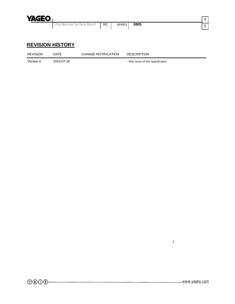

# **REVISION HISTORY**

| <b>REVISION</b> | <b>DATE</b> | CHANGE NOTIFICATION | <b>DESCRIPTION</b>                  |
|-----------------|-------------|---------------------|-------------------------------------|
| Version 0       | 2016-07-26  |                     | - First issue of this specification |

2

5  $\frac{1}{5}$